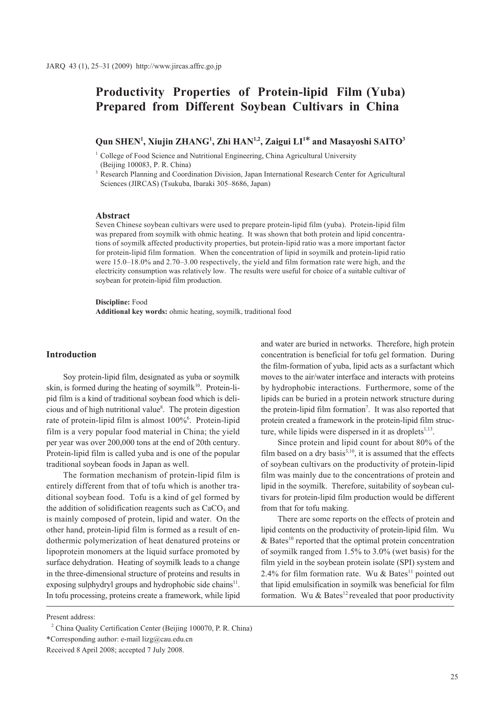# **Productivity Properties of Protein-lipid Film (Yuba) Prepared from Different Soybean Cultivars in China**

## **Qun SHEN1 , Xiujin ZHANG1 , Zhi HAN1,2, Zaigui LI1\* and Masayoshi SAITO3**

<sup>1</sup> College of Food Science and Nutritional Engineering, China Agricultural University (Beijing 100083, P. R. China)

<sup>3</sup> Research Planning and Coordination Division, Japan International Research Center for Agricultural Sciences (JIRCAS) (Tsukuba, Ibaraki 305–8686, Japan)

## **Abstract**

Seven Chinese soybean cultivars were used to prepare protein-lipid film (yuba). Protein-lipid film was prepared from soymilk with ohmic heating. It was shown that both protein and lipid concentrations of soymilk affected productivity properties, but protein-lipid ratio was a more important factor for protein-lipid film formation. When the concentration of lipid in soymilk and protein-lipid ratio were 15.0–18.0% and 2.70–3.00 respectively, the yield and film formation rate were high, and the electricity consumption was relatively low. The results were useful for choice of a suitable cultivar of soybean for protein-lipid film production.

#### **Discipline:** Food

**Additional key words:** ohmic heating, soymilk, traditional food

## **Introduction**

Soy protein-lipid film, designated as yuba or soymilk skin, is formed during the heating of soymil $k^{10}$ . Protein-lipid film is a kind of traditional soybean food which is delicious and of high nutritional value8 . The protein digestion rate of protein-lipid film is almost 100%<sup>6</sup>. Protein-lipid film is a very popular food material in China; the yield per year was over 200,000 tons at the end of 20th century. Protein-lipid film is called yuba and is one of the popular traditional soybean foods in Japan as well.

The formation mechanism of protein-lipid film is entirely different from that of tofu which is another traditional soybean food. Tofu is a kind of gel formed by the addition of solidification reagents such as  $CaCO<sub>3</sub>$  and is mainly composed of protein, lipid and water. On the other hand, protein-lipid film is formed as a result of endothermic polymerization of heat denatured proteins or lipoprotein monomers at the liquid surface promoted by surface dehydration. Heating of soymilk leads to a change in the three-dimensional structure of proteins and results in exposing sulphydryl groups and hydrophobic side chains $11$ . In tofu processing, proteins create a framework, while lipid

Present address:

and water are buried in networks. Therefore, high protein concentration is beneficial for tofu gel formation. During the film-formation of yuba, lipid acts as a surfactant which moves to the air/water interface and interacts with proteins by hydrophobic interactions. Furthermore, some of the lipids can be buried in a protein network structure during the protein-lipid film formation<sup>7</sup>. It was also reported that protein created a framework in the protein-lipid film structure, while lipids were dispersed in it as droplets $^{1,13}$ .

Since protein and lipid count for about 80% of the film based on a dry basis $3,10$ , it is assumed that the effects of soybean cultivars on the productivity of protein-lipid film was mainly due to the concentrations of protein and lipid in the soymilk. Therefore, suitability of soybean cultivars for protein-lipid film production would be different from that for tofu making.

There are some reports on the effects of protein and lipid contents on the productivity of protein-lipid film. Wu  $& Bates<sup>10</sup> reported that the optimal protein concentration$ of soymilk ranged from 1.5% to 3.0% (wet basis) for the film yield in the soybean protein isolate (SPI) system and 2.4% for film formation rate. Wu & Bates<sup>11</sup> pointed out that lipid emulsification in soymilk was beneficial for film formation. Wu & Bates<sup>12</sup> revealed that poor productivity

<sup>&</sup>lt;sup>2</sup> China Quality Certification Center (Beijing 100070, P. R. China) \*Corresponding author: e-mail lizg@cau.edu.cn Received 8 April 2008; accepted 7 July 2008.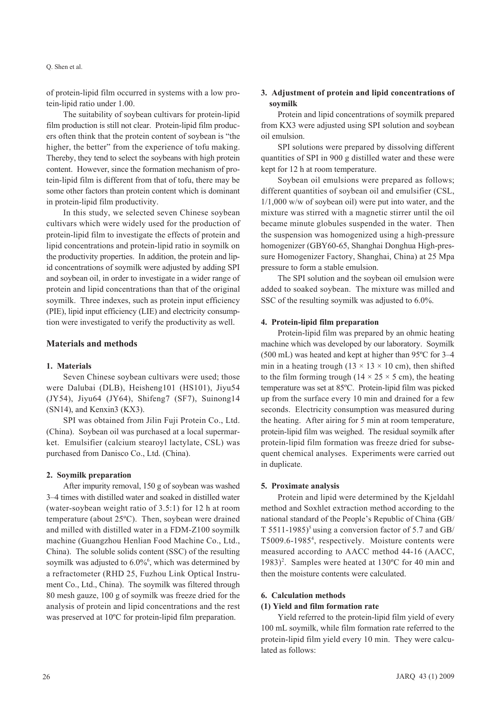#### Q. Shen et al.

of protein-lipid film occurred in systems with a low protein-lipid ratio under 1.00.

The suitability of soybean cultivars for protein-lipid film production is still not clear. Protein-lipid film producers often think that the protein content of soybean is "the higher, the better" from the experience of tofu making. Thereby, they tend to select the soybeans with high protein content. However, since the formation mechanism of protein-lipid film is different from that of tofu, there may be some other factors than protein content which is dominant in protein-lipid film productivity.

In this study, we selected seven Chinese soybean cultivars which were widely used for the production of protein-lipid film to investigate the effects of protein and lipid concentrations and protein-lipid ratio in soymilk on the productivity properties. In addition, the protein and lipid concentrations of soymilk were adjusted by adding SPI and soybean oil, in order to investigate in a wider range of protein and lipid concentrations than that of the original soymilk. Three indexes, such as protein input efficiency (PIE), lipid input efficiency (LIE) and electricity consumption were investigated to verify the productivity as well.

#### **Materials and methods**

#### **1. Materials**

Seven Chinese soybean cultivars were used; those were Dalubai (DLB), Heisheng101 (HS101), Jiyu54 (JY54), Jiyu64 (JY64), Shifeng7 (SF7), Suinong14 (SN14), and Kenxin3 (KX3).

SPI was obtained from Jilin Fuji Protein Co., Ltd. (China). Soybean oil was purchased at a local supermarket. Emulsifier (calcium stearoyl lactylate, CSL) was purchased from Danisco Co., Ltd. (China).

#### **2. Soymilk preparation**

After impurity removal, 150 g of soybean was washed 3–4 times with distilled water and soaked in distilled water (water-soybean weight ratio of 3.5:1) for 12 h at room temperature (about 25ºC). Then, soybean were drained and milled with distilled water in a FDM-Z100 soymilk machine (Guangzhou Henlian Food Machine Co., Ltd., China). The soluble solids content (SSC) of the resulting soymilk was adjusted to 6.0%<sup>6</sup>, which was determined by a refractometer (RHD 25, Fuzhou Link Optical Instrument Co., Ltd., China). The soymilk was filtered through 80 mesh gauze, 100 g of soymilk was freeze dried for the analysis of protein and lipid concentrations and the rest was preserved at 10ºC for protein-lipid film preparation.

## **3. Adjustment of protein and lipid concentrations of soymilk**

Protein and lipid concentrations of soymilk prepared from KX3 were adjusted using SPI solution and soybean oil emulsion.

SPI solutions were prepared by dissolving different quantities of SPI in 900 g distilled water and these were kept for 12 h at room temperature.

Soybean oil emulsions were prepared as follows; different quantities of soybean oil and emulsifier (CSL,  $1/1,000$  w/w of soybean oil) were put into water, and the mixture was stirred with a magnetic stirrer until the oil became minute globules suspended in the water. Then the suspension was homogenized using a high-pressure homogenizer (GBY60-65, Shanghai Donghua High-pressure Homogenizer Factory, Shanghai, China) at 25 Mpa pressure to form a stable emulsion.

The SPI solution and the soybean oil emulsion were added to soaked soybean. The mixture was milled and SSC of the resulting soymilk was adjusted to 6.0%.

#### **4. Protein-lipid film preparation**

Protein-lipid film was prepared by an ohmic heating machine which was developed by our laboratory. Soymilk (500 mL) was heated and kept at higher than 95ºC for 3–4 min in a heating trough  $(13 \times 13 \times 10 \text{ cm})$ , then shifted to the film forming trough ( $14 \times 25 \times 5$  cm), the heating temperature was set at 85ºC. Protein-lipid film was picked up from the surface every 10 min and drained for a few seconds. Electricity consumption was measured during the heating. After airing for 5 min at room temperature, protein-lipid film was weighed. The residual soymilk after protein-lipid film formation was freeze dried for subsequent chemical analyses. Experiments were carried out in duplicate.

#### **5. Proximate analysis**

Protein and lipid were determined by the Kjeldahl method and Soxhlet extraction method according to the national standard of the People's Republic of China (GB/ T 5511-1985)<sup>5</sup> using a conversion factor of 5.7 and GB/ T5009.6-19854 , respectively. Moisture contents were measured according to AACC method 44-16 (AACC, 1983)<sup>2</sup>. Samples were heated at 130 $^{\circ}$ C for 40 min and then the moisture contents were calculated.

#### **6. Calculation methods**

#### **(1) Yield and film formation rate**

Yield referred to the protein-lipid film yield of every 100 mL soymilk, while film formation rate referred to the protein-lipid film yield every 10 min. They were calculated as follows: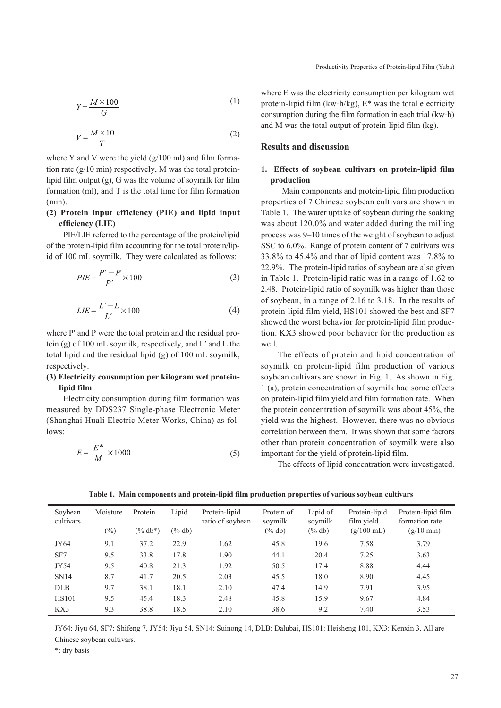$$
Y = \frac{M \times 100}{G} \tag{1}
$$

$$
V = \frac{M \times 10}{T} \tag{2}
$$

where Y and V were the yield  $(g/100 \text{ ml})$  and film formation rate (g/10 min) respectively, M was the total proteinlipid film output (g), G was the volume of soymilk for film formation (ml), and T is the total time for film formation (min).

## **(2) Protein input efficiency (PIE) and lipid input efficiency (LIE)**

PIE/LIE referred to the percentage of the protein/lipid of the protein-lipid film accounting for the total protein/lipid of 100 mL soymilk. They were calculated as follows:

$$
PIE = \frac{P' - P}{P'} \times 100\tag{3}
$$

$$
LIE = \frac{L' - L}{L'} \times 100\tag{4}
$$

where P' and P were the total protein and the residual protein (g) of 100 mL soymilk, respectively, and L′ and L the total lipid and the residual lipid (g) of 100 mL soymilk, respectively.

## **(3) Electricity consumption per kilogram wet proteinlipid film**

Electricity consumption during film formation was measured by DDS237 Single-phase Electronic Meter (Shanghai Huali Electric Meter Works, China) as follows:

$$
E = \frac{E^*}{M} \times 1000\tag{5}
$$

where E was the electricity consumption per kilogram wet protein-lipid film (kw·h/kg), E\* was the total electricity consumption during the film formation in each trial (kw·h) and M was the total output of protein-lipid film (kg).

#### **Results and discussion**

## **1. Effects of soybean cultivars on protein-lipid film production**

 Main components and protein-lipid film production properties of 7 Chinese soybean cultivars are shown in Table 1. The water uptake of soybean during the soaking was about 120.0% and water added during the milling process was 9–10 times of the weight of soybean to adjust SSC to 6.0%. Range of protein content of 7 cultivars was 33.8% to 45.4% and that of lipid content was 17.8% to 22.9%. The protein-lipid ratios of soybean are also given in Table 1. Protein-lipid ratio was in a range of 1.62 to 2.48. Protein-lipid ratio of soymilk was higher than those of soybean, in a range of 2.16 to 3.18. In the results of protein-lipid film yield, HS101 showed the best and SF7 showed the worst behavior for protein-lipid film production. KX3 showed poor behavior for the production as well.

The effects of protein and lipid concentration of soymilk on protein-lipid film production of various soybean cultivars are shown in Fig. 1. As shown in Fig. 1 (a), protein concentration of soymilk had some effects on protein-lipid film yield and film formation rate. When the protein concentration of soymilk was about 45%, the yield was the highest. However, there was no obvious correlation between them. It was shown that some factors other than protein concentration of soymilk were also important for the yield of protein-lipid film.

The effects of lipid concentration were investigated.

| Soybean<br>cultivars | Moisture<br>$(\%)$ | Protein<br>$(\%$ db*) | Lipid<br>$(\%$ db) | Protein-lipid<br>ratio of soybean | Protein of<br>soymilk<br>$(\%$ db) | Lipid of<br>soymilk<br>$(\%$ db) | Protein-lipid<br>film yield<br>$(g/100 \text{ mL})$ | Protein-lipid film<br>formation rate<br>$(g/10 \text{ min})$ |
|----------------------|--------------------|-----------------------|--------------------|-----------------------------------|------------------------------------|----------------------------------|-----------------------------------------------------|--------------------------------------------------------------|
| JY64                 | 9.1                | 37.2                  | 22.9               | 1.62                              | 45.8                               | 19.6                             | 7.58                                                | 3.79                                                         |
| SF7                  | 9.5                | 33.8                  | 17.8               | 1.90                              | 44.1                               | 20.4                             | 7.25                                                | 3.63                                                         |
| JY54                 | 9.5                | 40.8                  | 21.3               | 1.92                              | 50.5                               | 17.4                             | 8.88                                                | 4.44                                                         |
| <b>SN14</b>          | 8.7                | 41.7                  | 20.5               | 2.03                              | 45.5                               | 18.0                             | 8.90                                                | 4.45                                                         |
| <b>DLB</b>           | 9.7                | 38.1                  | 18.1               | 2.10                              | 47.4                               | 14.9                             | 7.91                                                | 3.95                                                         |
| <b>HS101</b>         | 9.5                | 45.4                  | 18.3               | 2.48                              | 45.8                               | 15.9                             | 9.67                                                | 4.84                                                         |
| KX3                  | 9.3                | 38.8                  | 18.5               | 2.10                              | 38.6                               | 9.2                              | 7.40                                                | 3.53                                                         |

**Table 1. Main components and protein-lipid film production properties of various soybean cultivars** 

JY64: Jiyu 64, SF7: Shifeng 7, JY54: Jiyu 54, SN14: Suinong 14, DLB: Dalubai, HS101: Heisheng 101, KX3: Kenxin 3. All are Chinese soybean cultivars.

\*: dry basis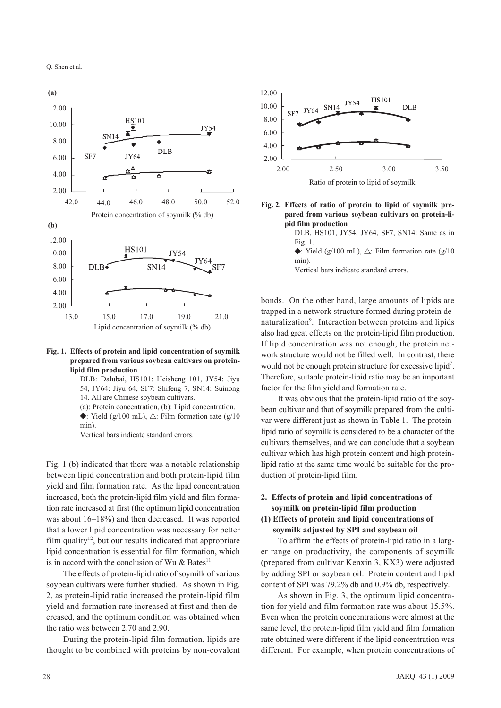



DLB: Dalubai, HS101: Heisheng 101, JY54: Jiyu 54, JY64: Jiyu 64, SF7: Shifeng 7, SN14: Suinong 14. All are Chinese soybean cultivars.

(a): Protein concentration, (b): Lipid concentration.

 $\blacklozenge$ : Yield (g/100 mL),  $\triangle$ : Film formation rate (g/10  $min)$ 

Vertical bars indicate standard errors.

Fig. 1 (b) indicated that there was a notable relationship between lipid concentration and both protein-lipid film yield and film formation rate. As the lipid concentration increased, both the protein-lipid film yield and film formation rate increased at first (the optimum lipid concentration was about  $16-18\%$ ) and then decreased. It was reported that a lower lipid concentration was necessary for better film quality<sup>12</sup>, but our results indicated that appropriate lipid concentration is essential for film formation, which is in accord with the conclusion of Wu & Bates<sup>11</sup>.

The effects of protein-lipid ratio of soymilk of various soybean cultivars were further studied. As shown in Fig. 2, as protein-lipid ratio increased the protein-lipid film yield and formation rate increased at first and then decreased, and the optimum condition was obtained when the ratio was between 2.70 and 2.90.

During the protein-lipid film formation, lipids are thought to be combined with proteins by non-covalent



- Fig. 2. Effects of ratio of protein to lipid of soymilk prepared from various soybean cultivars on protein-lipid film production
	- DLB, HS101, JY54, JY64, SF7, SN14: Same as in Fig. 1.

 $\blacklozenge$ : Yield (g/100 mL),  $\triangle$ : Film formation rate (g/10  $min)$ 

Vertical bars indicate standard errors.

bonds. On the other hand, large amounts of lipids are trapped in a network structure formed during protein denaturalization<sup>9</sup>. Interaction between proteins and lipids also had great effects on the protein-lipid film production. If lipid concentration was not enough, the protein network structure would not be filled well. In contrast, there would not be enough protein structure for excessive lipid<sup>7</sup>. Therefore, suitable protein-lipid ratio may be an important factor for the film yield and formation rate.

It was obvious that the protein-lipid ratio of the soybean cultivar and that of soymilk prepared from the cultivar were different just as shown in Table 1. The proteinlipid ratio of soymilk is considered to be a character of the cultivars themselves, and we can conclude that a soybean cultivar which has high protein content and high proteinlipid ratio at the same time would be suitable for the production of protein-lipid film.

#### 2. Effects of protein and lipid concentrations of soymilk on protein-lipid film production

## (1) Effects of protein and lipid concentrations of soymilk adjusted by SPI and soybean oil

To affirm the effects of protein-lipid ratio in a larger range on productivity, the components of soymilk (prepared from cultivar Kenxin 3, KX3) were adjusted by adding SPI or soybean oil. Protein content and lipid content of SPI was 79.2% db and 0.9% db, respectively.

As shown in Fig. 3, the optimum lipid concentration for yield and film formation rate was about 15.5%. Even when the protein concentrations were almost at the same level, the protein-lipid film yield and film formation rate obtained were different if the lipid concentration was different. For example, when protein concentrations of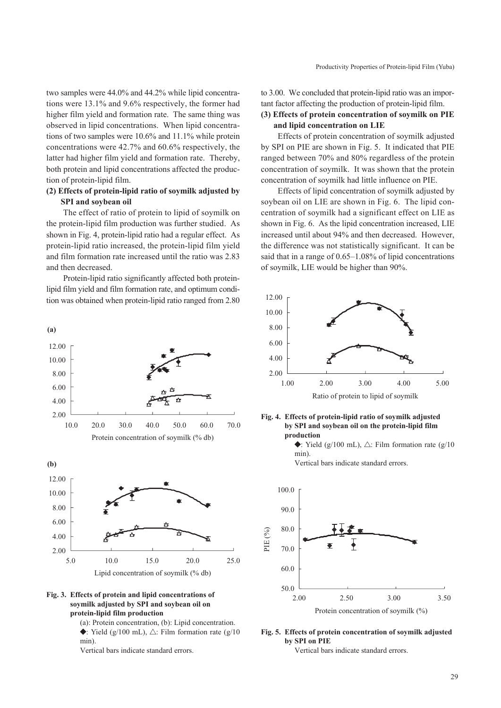two samples were 44.0% and 44.2% while lipid concentrations were  $13.1\%$  and  $9.6\%$  respectively, the former had higher film yield and formation rate. The same thing was observed in lipid concentrations. When lipid concentrations of two samples were  $10.6\%$  and  $11.1\%$  while protein concentrations were 42.7% and 60.6% respectively, the latter had higher film yield and formation rate. Thereby, both protein and lipid concentrations affected the production of protein-lipid film.

## (2) Effects of protein-lipid ratio of sovmilk adjusted by **SPI** and soybean oil

The effect of ratio of protein to lipid of soymilk on the protein-lipid film production was further studied. As shown in Fig. 4, protein-lipid ratio had a regular effect. As protein-lipid ratio increased, the protein-lipid film yield and film formation rate increased until the ratio was 2.83 and then decreased.

Protein-lipid ratio significantly affected both proteinlipid film yield and film formation rate, and optimum condition was obtained when protein-lipid ratio ranged from 2.80

ั∗

50.0

20.0

60.0

70.0

25.0

 $(a)$ 

12.00

10.00

 $8.00$ 

6.00

4.00

2.00

 $(b)$ 12.00

10.00 8.00

 $6.00$ 

 $400$ 

 $2.00$ 

5.0

min)

10.0

20.0

10.0

protein-lipid film production

30.0

40.0

Protein concentration of soymilk (% db)

15.0

Lipid concentration of soymilk (% db)

(a): Protein concentration, (b): Lipid concentration.  $\blacklozenge$ : Yield (g/100 mL),  $\triangle$ : Film formation rate (g/10) to 3.00. We concluded that protein-lipid ratio was an important factor affecting the production of protein-lipid film.

## (3) Effects of protein concentration of soymilk on PIE and lipid concentration on LIE

Effects of protein concentration of soymilk adjusted by SPI on PIE are shown in Fig. 5. It indicated that PIE ranged between 70% and 80% regardless of the protein concentration of soymilk. It was shown that the protein concentration of soymilk had little influence on PIE.

Effects of lipid concentration of sovmilk adjusted by soybean oil on LIE are shown in Fig. 6. The lipid concentration of soymilk had a significant effect on LIE as shown in Fig. 6. As the lipid concentration increased, LIE increased until about 94% and then decreased. However, the difference was not statistically significant. It can be said that in a range of  $0.65-1.08\%$  of lipid concentrations of soymilk, LIE would be higher than 90%.





 $\blacktriangleright$ : Yield (g/100 mL),  $\triangle$ : Film formation rate (g/10  $min)$ 

Vertical bars indicate standard errors.



#### Fig. 5. Effects of protein concentration of soymilk adjusted by SPI on PIE

Vertical bars indicate standard errors.

Fig. 3. Effects of protein and lipid concentrations of

sovmilk adjusted by SPI and sovbean oil on



Vertical bars indicate standard errors.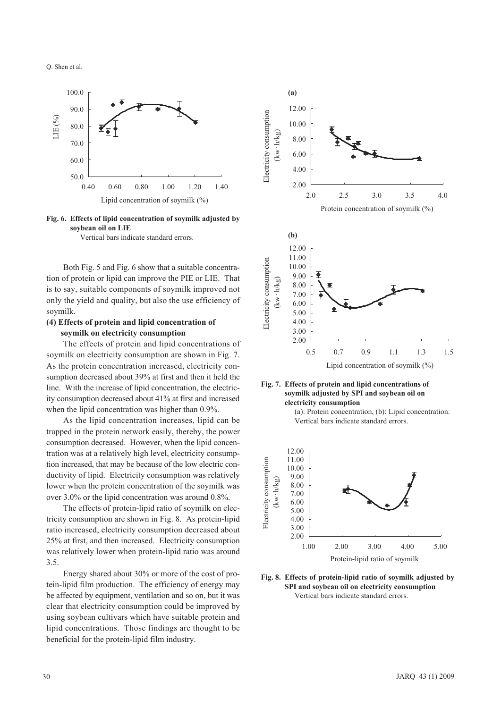O. Shen et al







Both Fig. 5 and Fig. 6 show that a suitable concentration of protein or lipid can improve the PIE or LIE. That is to say, suitable components of soymilk improved not only the yield and quality, but also the use efficiency of soymilk.

## (4) Effects of protein and lipid concentration of soymilk on electricity consumption

The effects of protein and lipid concentrations of soymilk on electricity consumption are shown in Fig. 7. As the protein concentration increased, electricity consumption decreased about 39% at first and then it held the line. With the increase of lipid concentration, the electricity consumption decreased about 41% at first and increased when the lipid concentration was higher than 0.9%.

As the lipid concentration increases, lipid can be trapped in the protein network easily, thereby, the power consumption decreased. However, when the lipid concentration was at a relatively high level, electricity consumption increased, that may be because of the low electric conductivity of lipid. Electricity consumption was relatively lower when the protein concentration of the soymilk was over  $3.0\%$  or the lipid concentration was around 0.8%.

The effects of protein-lipid ratio of soymilk on electricity consumption are shown in Fig. 8. As protein-lipid ratio increased, electricity consumption decreased about 25% at first, and then increased. Electricity consumption was relatively lower when protein-lipid ratio was around  $3.5.$ 

Energy shared about 30% or more of the cost of protein-lipid film production. The efficiency of energy may be affected by equipment, ventilation and so on, but it was clear that electricity consumption could be improved by using soybean cultivars which have suitable protein and lipid concentrations. Those findings are thought to be beneficial for the protein-lipid film industry.







(a): Protein concentration, (b): Lipid concentration. Vertical bars indicate standard errors.